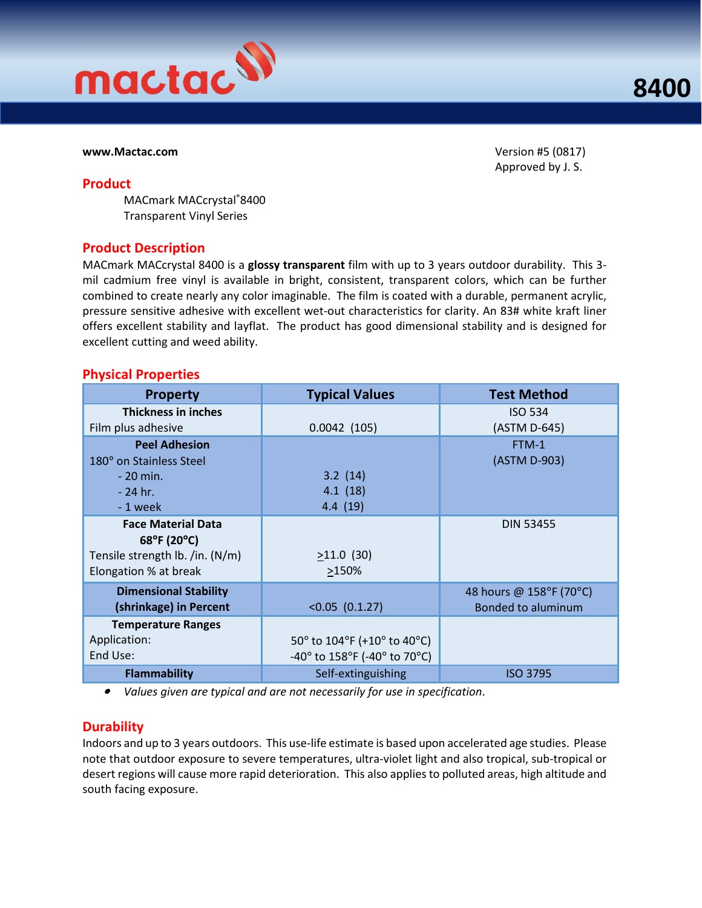

#### www.Mactac.com Version #5 (0817)

Product

Approved by J. S.

MACmark MACcrystal®8400 Transparent Vinyl Series

#### Product Description

MACmark MACcrystal 8400 is a glossy transparent film with up to 3 years outdoor durability. This 3mil cadmium free vinyl is available in bright, consistent, transparent colors, which can be further combined to create nearly any color imaginable. The film is coated with a durable, permanent acrylic, pressure sensitive adhesive with excellent wet-out characteristics for clarity. An 83# white kraft liner offers excellent stability and layflat. The product has good dimensional stability and is designed for excellent cutting and weed ability.

#### Physical Properties

| <b>Property</b>                                                                                      | <b>Typical Values</b>                                                                                                                       | <b>Test Method</b>                                   |
|------------------------------------------------------------------------------------------------------|---------------------------------------------------------------------------------------------------------------------------------------------|------------------------------------------------------|
| <b>Thickness in inches</b><br>Film plus adhesive                                                     | 0.0042(105)                                                                                                                                 | <b>ISO 534</b><br>(ASTM D-645)                       |
| <b>Peel Adhesion</b><br>180° on Stainless Steel<br>$-20$ min.<br>$-24$ hr.<br>-1 week                | 3.2(14)<br>4.1(18)<br>4.4(19)                                                                                                               | FTM-1<br>(ASTM D-903)                                |
| <b>Face Material Data</b><br>68°F (20°C)<br>Tensile strength lb. /in. (N/m)<br>Elongation % at break | $>11.0$ (30)<br>>150%                                                                                                                       | <b>DIN 53455</b>                                     |
| <b>Dimensional Stability</b><br>(shrinkage) in Percent                                               | $<0.05$ (0.1.27)                                                                                                                            | 48 hours @ 158°F (70°C)<br><b>Bonded to aluminum</b> |
| <b>Temperature Ranges</b><br>Application:<br>End Use:                                                | 50 $\degree$ to 104 $\degree$ F (+10 $\degree$ to 40 $\degree$ C)<br>-40 $^{\circ}$ to 158 $^{\circ}$ F (-40 $^{\circ}$ to 70 $^{\circ}$ C) |                                                      |
| <b>Flammability</b>                                                                                  | Self-extinguishing                                                                                                                          | <b>ISO 3795</b>                                      |

• Values given are typical and are not necessarily for use in specification.

### **Durability**

Indoors and up to 3 years outdoors. This use-life estimate is based upon accelerated age studies. Please note that outdoor exposure to severe temperatures, ultra-violet light and also tropical, sub-tropical or desert regions will cause more rapid deterioration. This also applies to polluted areas, high altitude and south facing exposure.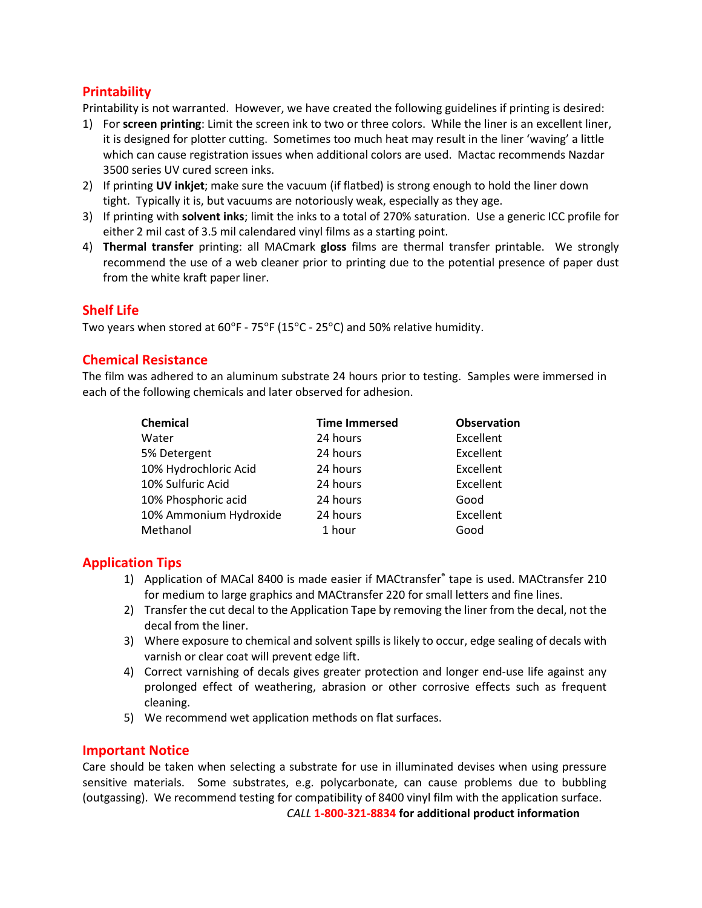# **Printability**

Printability is not warranted. However, we have created the following guidelines if printing is desired:

- 1) For screen printing: Limit the screen ink to two or three colors. While the liner is an excellent liner, it is designed for plotter cutting. Sometimes too much heat may result in the liner 'waving' a little which can cause registration issues when additional colors are used. Mactac recommends Nazdar 3500 series UV cured screen inks.
- 2) If printing UV inkjet; make sure the vacuum (if flatbed) is strong enough to hold the liner down tight. Typically it is, but vacuums are notoriously weak, especially as they age.
- 3) If printing with solvent inks; limit the inks to a total of 270% saturation. Use a generic ICC profile for either 2 mil cast of 3.5 mil calendared vinyl films as a starting point.
- 4) Thermal transfer printing: all MACmark gloss films are thermal transfer printable. We strongly recommend the use of a web cleaner prior to printing due to the potential presence of paper dust from the white kraft paper liner.

# Shelf Life

Two years when stored at 60°F - 75°F (15°C - 25°C) and 50% relative humidity.

## Chemical Resistance

The film was adhered to an aluminum substrate 24 hours prior to testing. Samples were immersed in each of the following chemicals and later observed for adhesion.

| Chemical               | <b>Time Immersed</b> | <b>Observation</b> |
|------------------------|----------------------|--------------------|
| Water                  | 24 hours             | Excellent          |
| 5% Detergent           | 24 hours             | Excellent          |
| 10% Hydrochloric Acid  | 24 hours             | Excellent          |
| 10% Sulfuric Acid      | 24 hours             | Excellent          |
| 10% Phosphoric acid    | 24 hours             | Good               |
| 10% Ammonium Hydroxide | 24 hours             | Excellent          |
| Methanol               | 1 hour               | Good               |

## Application Tips

- 1) Application of MACal 8400 is made easier if MACtransfer® tape is used. MACtransfer 210 for medium to large graphics and MACtransfer 220 for small letters and fine lines.
- 2) Transfer the cut decal to the Application Tape by removing the liner from the decal, not the decal from the liner.
- 3) Where exposure to chemical and solvent spills is likely to occur, edge sealing of decals with varnish or clear coat will prevent edge lift.
- 4) Correct varnishing of decals gives greater protection and longer end-use life against any prolonged effect of weathering, abrasion or other corrosive effects such as frequent cleaning.
- 5) We recommend wet application methods on flat surfaces.

### Important Notice

Care should be taken when selecting a substrate for use in illuminated devises when using pressure sensitive materials. Some substrates, e.g. polycarbonate, can cause problems due to bubbling (outgassing). We recommend testing for compatibility of 8400 vinyl film with the application surface.

CALL 1-800-321-8834 for additional product information